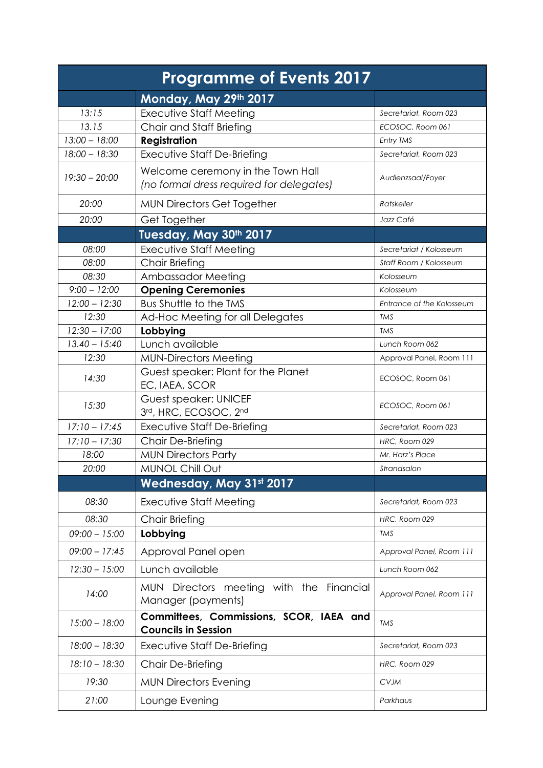| <b>Programme of Events 2017</b> |                                                                               |                           |
|---------------------------------|-------------------------------------------------------------------------------|---------------------------|
|                                 | Monday, May 29th 2017                                                         |                           |
| 13:15                           | <b>Executive Staff Meeting</b>                                                | Secretariat, Room 023     |
| 13.15                           | Chair and Staff Briefing                                                      | ECOSOC, Room 061          |
| $13:00 - 18:00$                 | <b>Registration</b>                                                           | Entry TMS                 |
| $18:00 - 18:30$                 | Executive Staff De-Briefing                                                   | Secretariat, Room 023     |
| $19:30 - 20:00$                 | Welcome ceremony in the Town Hall<br>(no formal dress required for delegates) | Audienzsaal/Foyer         |
|                                 |                                                                               |                           |
| 20:00                           | <b>MUN Directors Get Together</b>                                             | Ratskeller                |
| 20:00                           | Get Together                                                                  | Jazz Café                 |
|                                 | Tuesday, May 30th 2017                                                        |                           |
| 08:00                           | <b>Executive Staff Meeting</b>                                                | Secretariat / Kolosseum   |
| 08:00                           | <b>Chair Briefing</b>                                                         | Staff Room / Kolosseum    |
| 08:30                           | Ambassador Meeting                                                            | Kolosseum                 |
| $9:00 - 12:00$                  | <b>Opening Ceremonies</b>                                                     | Kolosseum                 |
| $12:00 - 12:30$                 | Bus Shuttle to the TMS                                                        | Entrance of the Kolosseum |
| 12:30                           | Ad-Hoc Meeting for all Delegates                                              | <b>TMS</b>                |
| $12:30 - 17:00$                 | Lobbying                                                                      | <b>TMS</b>                |
| $13.40 - 15:40$                 | Lunch available                                                               | Lunch Room 062            |
| 12:30                           | <b>MUN-Directors Meeting</b>                                                  | Approval Panel, Room 111  |
| 14:30                           | Guest speaker: Plant for the Planet<br>EC, IAEA, SCOR                         | ECOSOC, Room 061          |
| 15:30                           | <b>Guest speaker: UNICEF</b><br>3rd, HRC, ECOSOC, 2nd                         | ECOSOC, Room 061          |
| $17:10 - 17:45$                 | <b>Executive Staff De-Briefing</b>                                            | Secretariat, Room 023     |
| $17:10 - 17:30$                 | Chair De-Briefing                                                             | HRC, Room 029             |
| 18:00                           | <b>MUN Directors Party</b>                                                    | Mr. Harz's Place          |
| 20:00                           | MUNOL Chill Out                                                               | Strandsalon               |
|                                 | Wednesday, May 31st 2017                                                      |                           |
| 08:30                           | <b>Executive Staff Meeting</b>                                                | Secretariat, Room 023     |
| 08:30                           | <b>Chair Briefing</b>                                                         | HRC, Room 029             |
| $09:00 - 15:00$                 | Lobbying                                                                      | <b>TMS</b>                |
| $09:00 - 17:45$                 | Approval Panel open                                                           | Approval Panel, Room 111  |
| $12:30 - 15:00$                 | Lunch available                                                               | Lunch Room 062            |
| 14:00                           | MUN Directors meeting with the Financial<br>Manager (payments)                | Approval Panel, Room 111  |
| $15:00 - 18:00$                 | Committees, Commissions, SCOR, IAEA and<br><b>Councils in Session</b>         | <b>TMS</b>                |
| $18:00 - 18:30$                 | Executive Staff De-Briefing                                                   | Secretariat, Room 023     |
| $18:10 - 18:30$                 | Chair De-Briefing                                                             | HRC, Room 029             |
| 19:30                           | <b>MUN Directors Evening</b>                                                  | <b>CVJM</b>               |
| 21:00                           | Lounge Evening                                                                | Parkhaus                  |